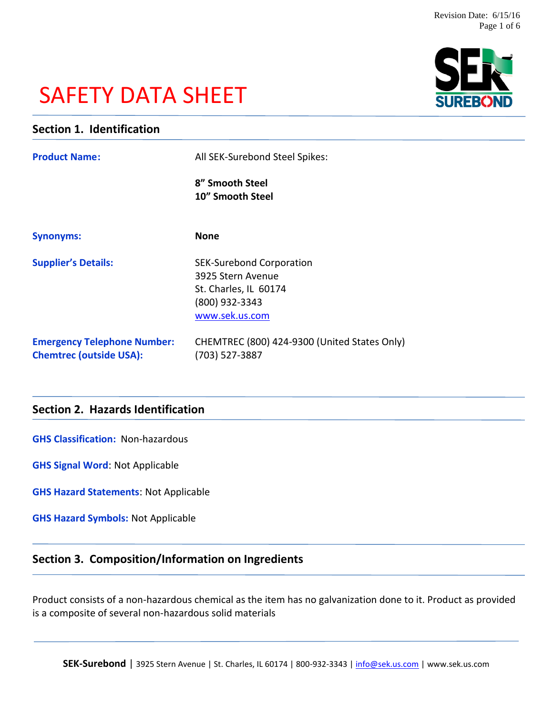# SAFETY DATA SHEET



# **Section 1. Identification**

| <b>Product Name:</b>                                                 | All SEK-Surebond Steel Spikes:                                                                                    |
|----------------------------------------------------------------------|-------------------------------------------------------------------------------------------------------------------|
|                                                                      | 8" Smooth Steel<br>10" Smooth Steel                                                                               |
| <b>Synonyms:</b>                                                     | <b>None</b>                                                                                                       |
| <b>Supplier's Details:</b>                                           | <b>SEK-Surebond Corporation</b><br>3925 Stern Avenue<br>St. Charles, IL 60174<br>(800) 932-3343<br>www.sek.us.com |
| <b>Emergency Telephone Number:</b><br><b>Chemtrec (outside USA):</b> | CHEMTREC (800) 424-9300 (United States Only)<br>(703) 527-3887                                                    |

# **Section 2. Hazards Identification**

**GHS Classification:** Non-hazardous

**GHS Signal Word**: Not Applicable

**GHS Hazard Statements**: Not Applicable

**GHS Hazard Symbols:** Not Applicable

# **Section 3. Composition/Information on Ingredients**

Product consists of a non-hazardous chemical as the item has no galvanization done to it. Product as provided is a composite of several non-hazardous solid materials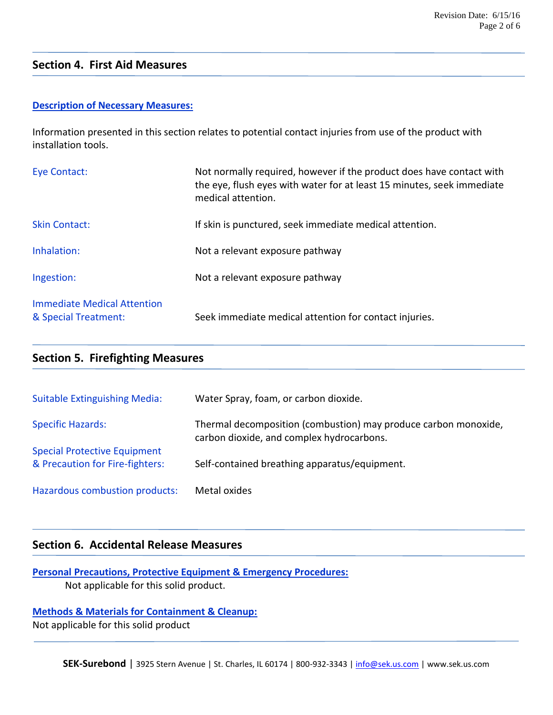# **Section 4. First Aid Measures**

#### **Description of Necessary Measures:**

Information presented in this section relates to potential contact injuries from use of the product with installation tools.

| Eye Contact:                                        | Not normally required, however if the product does have contact with<br>the eye, flush eyes with water for at least 15 minutes, seek immediate<br>medical attention. |
|-----------------------------------------------------|----------------------------------------------------------------------------------------------------------------------------------------------------------------------|
| <b>Skin Contact:</b>                                | If skin is punctured, seek immediate medical attention.                                                                                                              |
| Inhalation:                                         | Not a relevant exposure pathway                                                                                                                                      |
| Ingestion:                                          | Not a relevant exposure pathway                                                                                                                                      |
| Immediate Medical Attention<br>& Special Treatment: | Seek immediate medical attention for contact injuries.                                                                                                               |

# **Section 5. Firefighting Measures**

| <b>Suitable Extinguishing Media:</b>                                   | Water Spray, foam, or carbon dioxide.                                                                        |
|------------------------------------------------------------------------|--------------------------------------------------------------------------------------------------------------|
| <b>Specific Hazards:</b>                                               | Thermal decomposition (combustion) may produce carbon monoxide,<br>carbon dioxide, and complex hydrocarbons. |
| <b>Special Protective Equipment</b><br>& Precaution for Fire-fighters: | Self-contained breathing apparatus/equipment.                                                                |
| Hazardous combustion products:                                         | Metal oxides                                                                                                 |

### **Section 6. Accidental Release Measures**

**Personal Precautions, Protective Equipment & Emergency Procedures:**

Not applicable for this solid product.

**Methods & Materials for Containment & Cleanup:** Not applicable for this solid product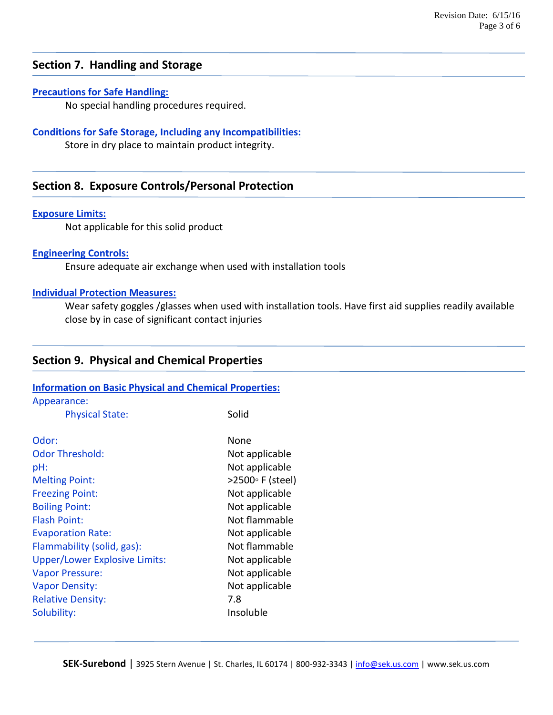# **Section 7. Handling and Storage**

#### **Precautions for Safe Handling:**

No special handling procedures required.

#### **Conditions for Safe Storage, Including any Incompatibilities:**

Store in dry place to maintain product integrity.

# **Section 8. Exposure Controls/Personal Protection**

#### **Exposure Limits:**

Not applicable for this solid product

#### **Engineering Controls:**

Ensure adequate air exchange when used with installation tools

#### **Individual Protection Measures:**

Wear safety goggles /glasses when used with installation tools. Have first aid supplies readily available close by in case of significant contact injuries

#### **Section 9. Physical and Chemical Properties**

#### **Information on Basic Physical and Chemical Properties:**

| Appearance: |  |
|-------------|--|
|-------------|--|

| <b>Physical State:</b>               | Solid            |
|--------------------------------------|------------------|
| Odor:                                | None             |
| <b>Odor Threshold:</b>               | Not applicable   |
| pH:                                  | Not applicable   |
| <b>Melting Point:</b>                | >2500° F (steel) |
| <b>Freezing Point:</b>               | Not applicable   |
| <b>Boiling Point:</b>                | Not applicable   |
| <b>Flash Point:</b>                  | Not flammable    |
| <b>Evaporation Rate:</b>             | Not applicable   |
| Flammability (solid, gas):           | Not flammable    |
| <b>Upper/Lower Explosive Limits:</b> | Not applicable   |
| <b>Vapor Pressure:</b>               | Not applicable   |
| <b>Vapor Density:</b>                | Not applicable   |
| <b>Relative Density:</b>             | 7.8              |
| Solubility:                          | Insoluble        |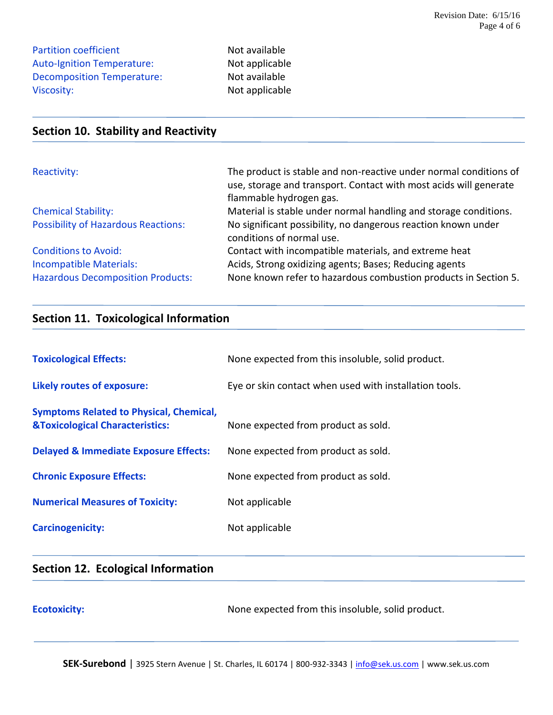Partition coefficient Not available Auto-Ignition Temperature: Not applicable Decomposition Temperature: Not available Viscosity: Not applicable

# **Section 10. Stability and Reactivity**

| Reactivity:                                | The product is stable and non-reactive under normal conditions of |
|--------------------------------------------|-------------------------------------------------------------------|
|                                            | use, storage and transport. Contact with most acids will generate |
|                                            | flammable hydrogen gas.                                           |
| <b>Chemical Stability:</b>                 | Material is stable under normal handling and storage conditions.  |
| <b>Possibility of Hazardous Reactions:</b> | No significant possibility, no dangerous reaction known under     |
|                                            | conditions of normal use.                                         |
| <b>Conditions to Avoid:</b>                | Contact with incompatible materials, and extreme heat             |
| <b>Incompatible Materials:</b>             | Acids, Strong oxidizing agents; Bases; Reducing agents            |
| <b>Hazardous Decomposition Products:</b>   | None known refer to hazardous combustion products in Section 5.   |

# **Section 11. Toxicological Information**

| <b>Toxicological Effects:</b>                                                                | None expected from this insoluble, solid product.      |
|----------------------------------------------------------------------------------------------|--------------------------------------------------------|
| Likely routes of exposure:                                                                   | Eye or skin contact when used with installation tools. |
| <b>Symptoms Related to Physical, Chemical,</b><br><b>&amp;Toxicological Characteristics:</b> | None expected from product as sold.                    |
| <b>Delayed &amp; Immediate Exposure Effects:</b>                                             | None expected from product as sold.                    |
| <b>Chronic Exposure Effects:</b>                                                             | None expected from product as sold.                    |
| <b>Numerical Measures of Toxicity:</b>                                                       | Not applicable                                         |
| <b>Carcinogenicity:</b>                                                                      | Not applicable                                         |

# **Section 12. Ecological Information**

**Ecotoxicity:** None expected from this insoluble, solid product.

SEK-Surebond | 3925 Stern Avenue | St. Charles, IL 60174 | 800-932-3343 | [info@sek.us.com](mailto:info@sek.us.com) | www.sek.us.com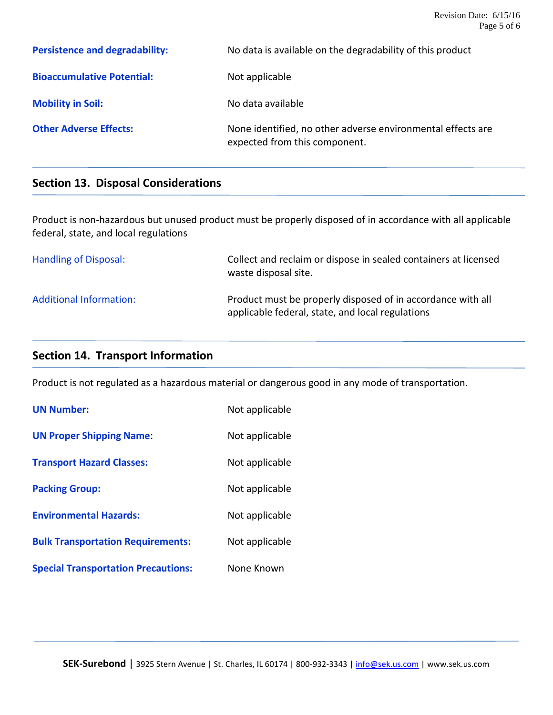**Persistence and degradability:** No data is available on the degradability of this product **Bioaccumulative Potential:** Not applicable **Mobility in Soil:** No data available **Other Adverse Effects:** None identified, no other adverse environmental effects are expected from this component.

# **Section 13. Disposal Considerations**

Product is non-hazardous but unused product must be properly disposed of in accordance with all applicable federal, state, and local regulations

| Handling of Disposal:          | Collect and reclaim or dispose in sealed containers at licensed<br>waste disposal site.                         |
|--------------------------------|-----------------------------------------------------------------------------------------------------------------|
| <b>Additional Information:</b> | Product must be properly disposed of in accordance with all<br>applicable federal, state, and local regulations |

# **Section 14. Transport Information**

Product is not regulated as a hazardous material or dangerous good in any mode of transportation.

| <b>UN Number:</b>                          | Not applicable |
|--------------------------------------------|----------------|
| <b>UN Proper Shipping Name:</b>            | Not applicable |
| <b>Transport Hazard Classes:</b>           | Not applicable |
| <b>Packing Group:</b>                      | Not applicable |
| <b>Environmental Hazards:</b>              | Not applicable |
| <b>Bulk Transportation Requirements:</b>   | Not applicable |
| <b>Special Transportation Precautions:</b> | None Known     |